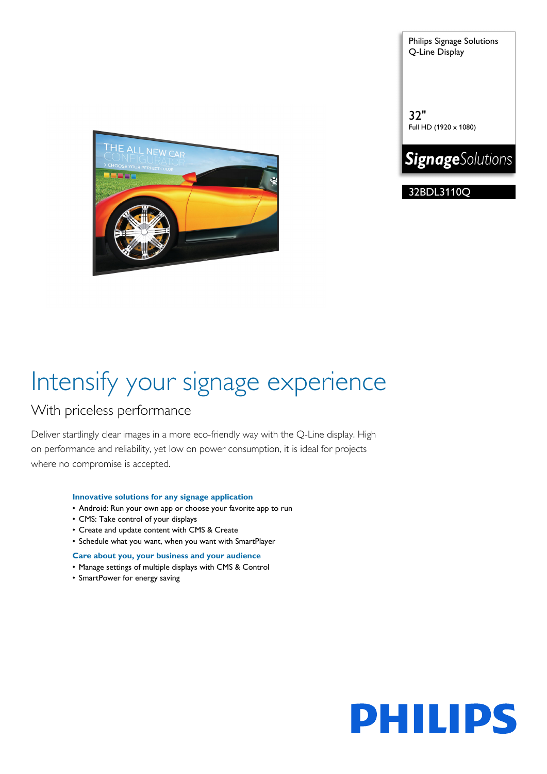Philips Signage Solutions Q-Line Display

32" Full HD (1920 x 1080)



32BDL3110Q



# Intensify your signage experience

### With priceless performance

Deliver startlingly clear images in a more eco-friendly way with the Q-Line display. High on performance and reliability, yet low on power consumption, it is ideal for projects where no compromise is accepted.

#### **Innovative solutions for any signage application**

- Android: Run your own app or choose your favorite app to run
- CMS: Take control of your displays
- Create and update content with CMS & Create
- Schedule what you want, when you want with SmartPlayer

#### **Care about you, your business and your audience**

- Manage settings of multiple displays with CMS & Control
- SmartPower for energy saving